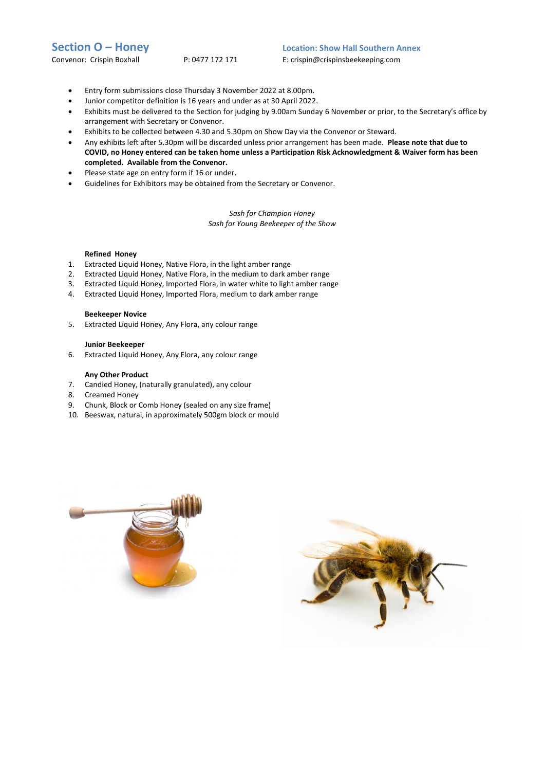**Section O – Honey**<br> **Location: Show Hall Southern Annex**<br> **Convenor: Crispin Boxhall**<br> **P: 0477 172 171**<br> **E: crispin@crispinsbeekeeping.com** 

E: crispin@crispinsbeekeeping.com

- Entry form submissions close Thursday 3 November 2022 at 8.00pm.
- Junior competitor definition is 16 years and under as at 30 April 2022.
- Exhibits must be delivered to the Section for judging by 9.00am Sunday 6 November or prior, to the Secretary's office by arrangement with Secretary or Convenor.
- Exhibits to be collected between 4.30 and 5.30pm on Show Day via the Convenor or Steward.
- Any exhibits left after 5.30pm will be discarded unless prior arrangement has been made. **Please note that due to COVID, no Honey entered can be taken home unless a Participation Risk Acknowledgment & Waiver form has been completed. Available from the Convenor.**
- Please state age on entry form if 16 or under.
- Guidelines for Exhibitors may be obtained from the Secretary or Convenor.

*Sash for Champion Honey Sash for Young Beekeeper of the Show*

# **Refined Honey**

- 1. Extracted Liquid Honey, Native Flora, in the light amber range
- 2. Extracted Liquid Honey, Native Flora, in the medium to dark amber range
- 3. Extracted Liquid Honey, Imported Flora, in water white to light amber range
- 4. Extracted Liquid Honey, Imported Flora, medium to dark amber range

# **Beekeeper Novice**

5. Extracted Liquid Honey, Any Flora, any colour range

# **Junior Beekeeper**

6. Extracted Liquid Honey, Any Flora, any colour range

# **Any Other Product**

- 7. Candied Honey, (naturally granulated), any colour
- 8. Creamed Honey
- 9. Chunk, Block or Comb Honey (sealed on any size frame)
- 10. Beeswax, natural, in approximately 500gm block or mould



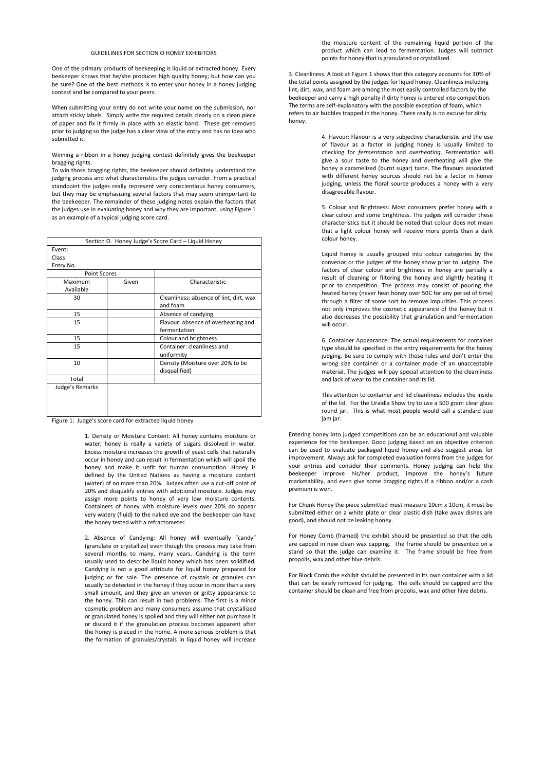#### GUIDELINES FOR SECTION O HONEY EXHIBITORS

One of the primary products of beekeeping is liquid or extracted honey. Every beekeeper knows that he/she produces high quality honey; but how can you be sure? One of the best methods is to enter your honey in a honey judging contest and be compared to your peers.

When submitting your entry do not write your name on the submission, nor attach sticky labels. Simply write the required details clearly on a clean piece of paper and fix it firmly in place with an elastic band. These get removed prior to judging so the judge has a clear view of the entry and has no idea who submitted it.

### Winning a ribbon in a honey judging contest definitely gives the beekeeper bragging rights.

To win those bragging rights, the beekeeper should definitely understand the judging process and what characteristics the judges consider. From a practical standpoint the judges really represent very conscientious honey consumers, but they may be emphasizing several factors that may seem unimportant to the beekeeper. The remainder of these judging notes explain the factors that the judges use in evaluating honey and why they are important, using Figure 1 as an example of a typical judging score card.

| Section O. Honey Judge's Score Card - Liquid Honey |       |                                                     |
|----------------------------------------------------|-------|-----------------------------------------------------|
| Event:<br>Class:<br>Entry No.                      |       |                                                     |
| <b>Point Scores</b>                                |       |                                                     |
| Maximum<br>Available                               | Given | Characteristic                                      |
| 30                                                 |       | Cleanliness: absence of lint, dirt, wax<br>and foam |
| 15                                                 |       | Absence of candying                                 |
| 15                                                 |       | Flavour: absence of overheating and<br>fermentation |
| 15                                                 |       | Colour and brightness                               |
| 15                                                 |       | Container: cleanliness and<br>uniformity            |
| 10                                                 |       | Density (Moisture over 20% to be<br>disqualified)   |
| Total                                              |       |                                                     |
| Judge's Remarks                                    |       |                                                     |

Figure 1: Judge's score card for extracted liquid honey

1. Density or Moisture Content: All honey contains moisture or water; honey is really a variety of sugars dissolved in water. Excess moisture increases the growth of yeast cells that naturally occur in honey and can result in fermentation which will spoil the honey and make it unfit for human consumption. Honey is defined by the United Nations as having a moisture content (water) of no more than 20%. Judges often use a cut-off point of 20% and disqualify entries with additional moisture. Judges may assign more points to honey of very low moisture contents. Containers of honey with moisture levels over 20% do appear very watery (fluid) to the naked eye and the beekeeper can have the honey tested with a refractometer.

2. Absence of Candying: All honey will eventually "candy" (granulate or crystallize) even though the process may take from several months to many, many years. Candying is the term usually used to describe liquid honey which has been solidified. Candying is not a good attribute for liquid honey prepared for judging or for sale. The presence of crystals or granules can usually be detected in the honey if they occur in more than a very small amount, and they give an uneven or gritty appearance to the honey. This can result in two problems. The first is a minor cosmetic problem and many consumers assume that crystallized or granulated honey is spoiled and they will either not purchase it or discard it if the granulation process becomes apparent after the honey is placed in the home. A more serious problem is that the formation of granules/crystals in liquid honey will increase

the moisture content of the remaining liquid portion of the product which can lead to fermentation. Judges will subtract points for honey that is granulated or crystallized.

3. Cleanliness: A look at Figure 1 shows that this category accounts for 30% of the total points assigned by the judges for liquid honey. Cleanliness including lint, dirt, wax, and foam are among the most easily controlled factors by the beekeeper and carry a high penalty if dirty honey is entered into competition. The terms are self-explanatory with the possible exception of foam, which refers to air bubbles trapped in the honey. There really is no excuse for dirty honey.

> 4. Flavour: Flavour is a very subjective characteristic and the use of flavour as a factor in judging honey is usually limited to checking for *fermentation* and *overheating*. Fermentation will give a sour taste to the honey and overheating will give the honey a caramelized (burnt sugar) taste. The flavours associated with different honey sources should not be a factor in honey judging, unless the floral source produces a honey with a very disagreeable flavour.

> 5. Colour and Brightness: Most consumers prefer honey with a clear colour and some brightness. The judges will consider these characteristics but it should be noted that colour does not mean that a light colour honey will receive more points than a dark colour honey.

> Liquid honey is usually grouped into colour categories by the convenor or the judges of the honey show prior to judging. The factors of clear colour and brightness in honey are partially a result of cleaning or filtering the honey and slightly heating it prior to competition. The process may consist of pouring the heated honey (never heat honey over 50C for any period of time) through a filter of some sort to remove impurities. This process not only improves the cosmetic appearance of the honey but it also decreases the possibility that granulation and fermentation will occur.

> 6. Container Appearance: The actual requirements for container type should be specified in the entry requirements for the honey judging. Be sure to comply with those rules and don't enter the wrong size container or a container made of an unacceptable material. The judges will pay special attention to the cleanliness and lack of wear to the container and its lid.

> This attention to container and lid cleanliness includes the inside of the lid. For the Uraidla Show try to use a 500 gram clear glass round jar. This is what most people would call a standard size jam jar.

Entering honey into judged competitions can be an educational and valuable experience for the beekeeper. Good judging based on an objective criterion can be used to evaluate packaged liquid honey and also suggest areas for improvement. Always ask for completed evaluation forms from the judges for your entries and consider their comments. Honey judging can help the beekeeper improve his/her product, improve the honey's future marketability, and even give some bragging rights if a ribbon and/or a cash premium is won.

For Chunk Honey the piece submitted must measure 10cm x 10cm, it must be submitted either on a white plate or clear plastic dish (take away dishes are good), and should not be leaking honey.

For Honey Comb (framed) the exhibit should be presented so that the cells are capped in new clean wax capping. The frame should be presented on a stand so that the judge can examine it. The frame should be free from propolis, wax and other hive debris.

For Block Comb the exhibit should be presented in its own container with a lid that can be easily removed for judging. The cells should be capped and the container should be clean and free from propolis, wax and other hive debris.